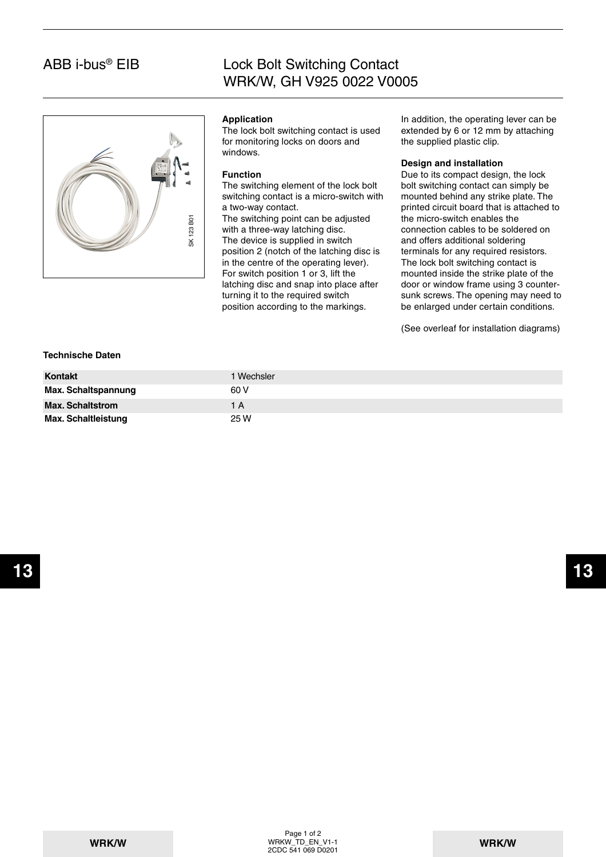## ABB i-bus® EIB

## Lock Bolt Switching Contact WRK/W, GH V925 0022 V0005



#### **Application**

The lock bolt switching contact is used for monitoring locks on doors and windows.

#### **Function**

The switching element of the lock bolt switching contact is a micro-switch with a two-way contact.

The switching point can be adjusted with a three-way latching disc. The device is supplied in switch position 2 (notch of the latching disc is in the centre of the operating lever). For switch position 1 or 3, lift the latching disc and snap into place after turning it to the required switch position according to the markings.

In addition, the operating lever can be extended by 6 or 12 mm by attaching the supplied plastic clip.

#### **Design and installation**

Due to its compact design, the lock bolt switching contact can simply be mounted behind any strike plate. The printed circuit board that is attached to the micro-switch enables the connection cables to be soldered on and offers additional soldering terminals for any required resistors. The lock bolt switching contact is mounted inside the strike plate of the door or window frame using 3 countersunk screws. The opening may need to be enlarged under certain conditions.

(See overleaf for installation diagrams)

#### **Technische Daten**

| <b>Kontakt</b>             | l Wechsler |
|----------------------------|------------|
| Max. Schaltspannung        | 60 V       |
| <b>Max. Schaltstrom</b>    | 1 A        |
| <b>Max. Schaltleistung</b> | 25 W       |